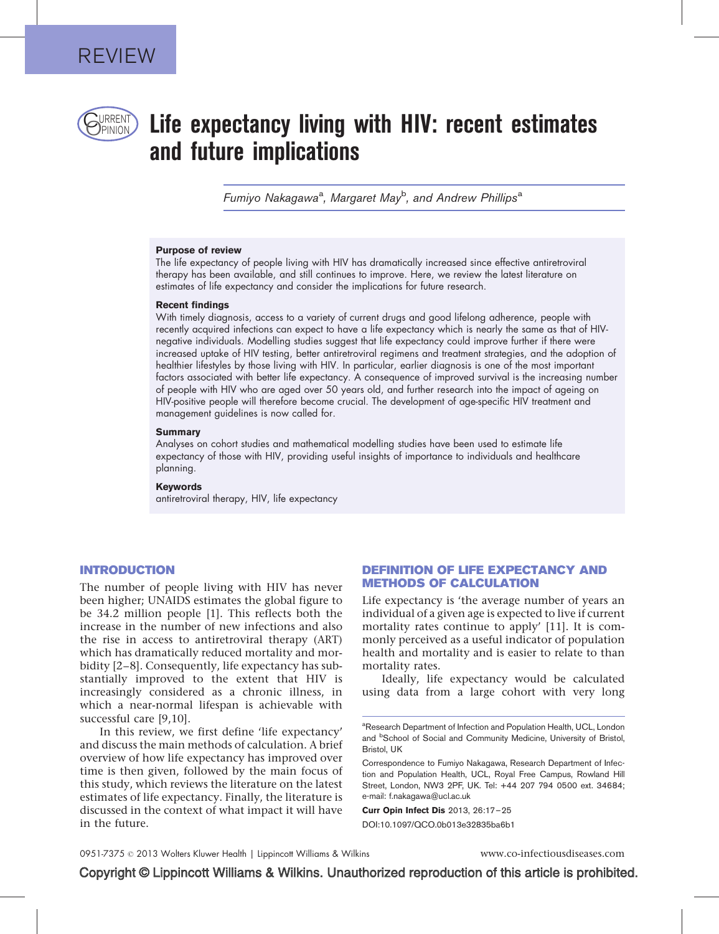

# $\mathbb{C}_{\mathsf{PINION}}$  Life expectancy living with HIV: recent estimates and future implications

Fumiyo Nakagawa<sup>a</sup>, Margaret May<sup>b</sup>, and Andrew Phillips<sup>a</sup>

#### Purpose of review

The life expectancy of people living with HIV has dramatically increased since effective antiretroviral therapy has been available, and still continues to improve. Here, we review the latest literature on estimates of life expectancy and consider the implications for future research.

#### Recent findings

With timely diagnosis, access to a variety of current drugs and good lifelong adherence, people with recently acquired infections can expect to have a life expectancy which is nearly the same as that of HIVnegative individuals. Modelling studies suggest that life expectancy could improve further if there were increased uptake of HIV testing, better antiretroviral regimens and treatment strategies, and the adoption of healthier lifestyles by those living with HIV. In particular, earlier diagnosis is one of the most important factors associated with better life expectancy. A consequence of improved survival is the increasing number of people with HIV who are aged over 50 years old, and further research into the impact of ageing on HIV-positive people will therefore become crucial. The development of age-specific HIV treatment and management guidelines is now called for.

#### **Summary**

Analyses on cohort studies and mathematical modelling studies have been used to estimate life expectancy of those with HIV, providing useful insights of importance to individuals and healthcare planning.

#### Keywords

antiretroviral therapy, HIV, life expectancy

#### INTRODUCTION

The number of people living with HIV has never been higher; UNAIDS estimates the global figure to be 34.2 million people [\[1\]](#page-7-0). This reflects both the increase in the number of new infections and also the rise in access to antiretroviral therapy (ART) which has dramatically reduced mortality and morbidity [\[2–8\]](#page-7-0). Consequently, life expectancy has substantially improved to the extent that HIV is increasingly considered as a chronic illness, in which a near-normal lifespan is achievable with successful care [\[9,10\].](#page-7-0)

In this review, we first define 'life expectancy' and discuss the main methods of calculation. A brief overview of how life expectancy has improved over time is then given, followed by the main focus of this study, which reviews the literature on the latest estimates of life expectancy. Finally, the literature is discussed in the context of what impact it will have in the future.

# DEFINITION OF LIFE EXPECTANCY AND METHODS OF CALCULATION

Life expectancy is 'the average number of years an individual of a given age is expected to live if current mortality rates continue to apply' [\[11\]](#page-7-0). It is commonly perceived as a useful indicator of population health and mortality and is easier to relate to than mortality rates.

Ideally, life expectancy would be calculated using data from a large cohort with very long

Curr Opin Infect Dis 2013, 26:17–25 DOI:10.1097/QCO.0b013e32835ba6b1

0951-7375 © 2013 Wolters Kluwer Health | Lippincott Williams & Wilkins www.co-infectiousdiseases.com

Copyright © Lippincott Williams & Wilkins. Unauthorized reproduction of this article is prohibited.

<sup>&</sup>lt;sup>a</sup>Research Department of Infection and Population Health, UCL, London and <sup>b</sup>School of Social and Community Medicine, University of Bristol, Bristol, UK

Correspondence to Fumiyo Nakagawa, Research Department of Infection and Population Health, UCL, Royal Free Campus, Rowland Hill Street, London, NW3 2PF, UK. Tel: +44 207 794 0500 ext. 34684; e-mail: [f.nakagawa@ucl.ac.uk](mailto:f.nakagawa@ucl.ac.uk)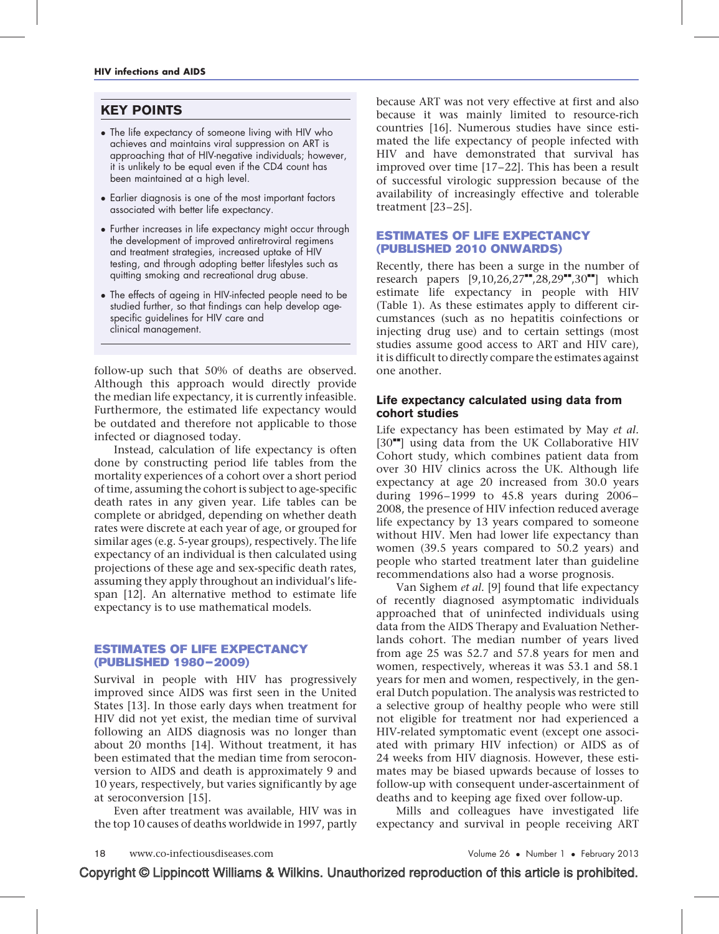# KEY POINTS

- The life expectancy of someone living with HIV who achieves and maintains viral suppression on ART is approaching that of HIV-negative individuals; however, it is unlikely to be equal even if the CD4 count has been maintained at a high level.
- Earlier diagnosis is one of the most important factors associated with better life expectancy.
- Further increases in life expectancy might occur through the development of improved antiretroviral regimens and treatment strategies, increased uptake of HIV testing, and through adopting better lifestyles such as quitting smoking and recreational drug abuse.
- The effects of ageing in HIV-infected people need to be studied further, so that findings can help develop agespecific quidelines for HIV care and clinical management.

follow-up such that 50% of deaths are observed. Although this approach would directly provide the median life expectancy, it is currently infeasible. Furthermore, the estimated life expectancy would be outdated and therefore not applicable to those infected or diagnosed today.

Instead, calculation of life expectancy is often done by constructing period life tables from the mortality experiences of a cohort over a short period of time, assuming the cohort is subject to age-specific death rates in any given year. Life tables can be complete or abridged, depending on whether death rates were discrete at each year of age, or grouped for similar ages (e.g. 5-year groups), respectively. The life expectancy of an individual is then calculated using projections of these age and sex-specific death rates, assuming they apply throughout an individual's lifespan [\[12\]](#page-7-0). An alternative method to estimate life expectancy is to use mathematical models.

#### ESTIMATES OF LIFE EXPECTANCY (PUBLISHED 1980–2009)

Survival in people with HIV has progressively improved since AIDS was first seen in the United States [\[13\].](#page-7-0) In those early days when treatment for HIV did not yet exist, the median time of survival following an AIDS diagnosis was no longer than about 20 months [\[14\]](#page-7-0). Without treatment, it has been estimated that the median time from seroconversion to AIDS and death is approximately 9 and 10 years, respectively, but varies significantly by age at seroconversion [\[15\].](#page-7-0)

Even after treatment was available, HIV was in the top 10 causes of deaths worldwide in 1997, partly because ART was not very effective at first and also because it was mainly limited to resource-rich countries [\[16\].](#page-7-0) Numerous studies have since estimated the life expectancy of people infected with HIV and have demonstrated that survival has improved over time [\[17–22\]](#page-7-0). This has been a result of successful virologic suppression because of the availability of increasingly effective and tolerable treatment [\[23–25\]](#page-7-0).

## ESTIMATES OF LIFE EXPECTANCY (PUBLISHED 2010 ONWARDS)

Recently, there has been a surge in the number of research papers  $[9,10,26,27$ <sup>\*\*</sup>[,28,29](#page-7-0)<sup>\*\*</sup>[,30](#page-7-0)<sup>\*\*</sup>[\]](#page-7-0) which estimate life expectancy in people with HIV (Table 1). As these estimates apply to different circumstances (such as no hepatitis coinfections or injecting drug use) and to certain settings (most studies assume good access to ART and HIV care), it is difficult to directly compare the estimates against one another.

# Life expectancy calculated using data from cohort studies

Life expectancy has been estimated by May et al.  $[30$ <sup> $\blacksquare$ </sup> using data from the UK Collaborative HIV Cohort study, which combines patient data from over 30 HIV clinics across the UK. Although life expectancy at age 20 increased from 30.0 years during 1996–1999 to 45.8 years during 2006– 2008, the presence of HIV infection reduced average life expectancy by 13 years compared to someone without HIV. Men had lower life expectancy than women (39.5 years compared to 50.2 years) and people who started treatment later than guideline recommendations also had a worse prognosis.

Van Sighem et al. [\[9\]](#page-7-0) found that life expectancy of recently diagnosed asymptomatic individuals approached that of uninfected individuals using data from the AIDS Therapy and Evaluation Netherlands cohort. The median number of years lived from age 25 was 52.7 and 57.8 years for men and women, respectively, whereas it was 53.1 and 58.1 years for men and women, respectively, in the general Dutch population. The analysis was restricted to a selective group of healthy people who were still not eligible for treatment nor had experienced a HIV-related symptomatic event (except one associated with primary HIV infection) or AIDS as of 24 weeks from HIV diagnosis. However, these estimates may be biased upwards because of losses to follow-up with consequent under-ascertainment of deaths and to keeping age fixed over follow-up.

Mills and colleagues have investigated life expectancy and survival in people receiving ART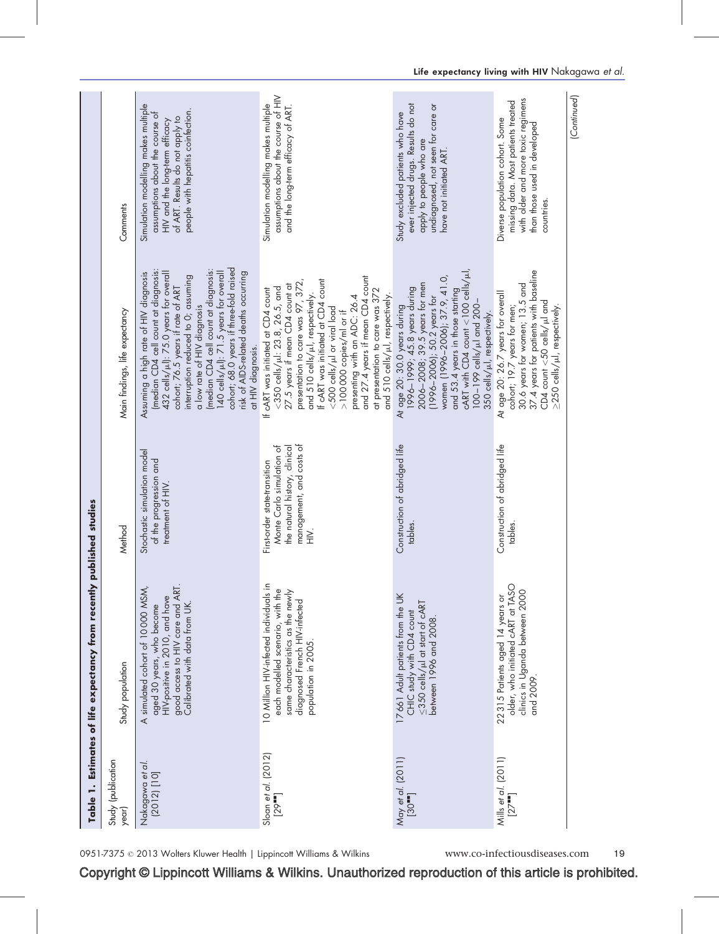| treatment of HIV.<br>tables.<br>tables.<br>Method<br>∑<br>H<br>I<br>10 Million HIV-infected individuals in<br>older, who initiated cART at TASO<br>good access to HIV care and ART.<br>A simulated cohort of 10000 MSM,<br>each modelled scenario, with the<br>same characteristics as the newly<br>clinics in Uganda between 2000<br>17661 Adult patients from the UK<br>22315 Patients aged 14 years or<br>HIV-positive in 2010, and have<br>diagnosed French HIV-infected<br>$\leq$ 350 cells/ $\mu$ l at start of cART<br>Calibrated with data from UK.<br>aged 30 years, who become<br>CHIC study with CD4 count<br>between 1996 and 2008<br>population in 2005.<br>Study population<br>and 2009 | at HIV diagnosis.<br>the natural history, clinical<br>management, and costs of<br>Construction of abridged life<br>Construction of abridged life<br>Monte Carlo simulation of<br>Stochastic simulation model<br>of the progression and<br>First-order state-transition | cohort; 68.0 years if three-fold raised<br>(median CD4 cell count at diagnosis:<br>median CD4 cell count at diagnosis:<br>cART with CD4 count <100 cells/µl,<br>100–199 cells/µl and 200–<br>37.4 years for patients with baseline<br>432 cells/µl]: 75.0 years for overall<br>Assuming a high rate of HIV diagnosis<br>risk of AIDS-related deaths occurring<br>$140$ cells/ $\mu$ l): 71.5 years for overall<br>women (1996-2006); 37.9, 41.0,<br>interruption reduced to O; assuming<br>and 27.4 years if mean CD4 count<br>If cART was initiated at CD4 count<br>presentation to care was 97, 372,<br>1996–1999; 45.8 years during<br>2006–2008; 39.5 years for men<br>27.5 years if mean CD4 count at<br>30.6 years for women; 13.5 and<br>cohort; 76.5 years if rate of ART<br>$<$ 350 cells/ $\mu$ l: 23.8, 26.5, and<br>If cART was initiated at CD4 count<br>at presentation to care was 372<br>and 53.4 years in those starting<br>and 510 cells/ul, respectively.<br>At age 20: 26.7 years for overall<br>and 510 cells/ul, respectively.<br>presenting with an ADC: 26.4<br>[1996-2006]; 50.2 years for<br>$CD4$ count $<$ 50 cells/ $\mu$ l and<br>At age 20: 30.0 years during<br>a low rate of HIV diagnosis<br>cohort; 19.7 years for men;<br><500 cells/µl or viral load<br>Main findings, life expectancy<br>$>100000$ copies/ml or if<br>350 cells/ul, respectively. | assumptions about the course of HIV<br>with older and more toxic regimens<br>missing data. Most patients treated<br>Simulation modelling makes multiple<br>and the long-term efficacy of ART.<br>ever injected drugs. Results do not<br>Simulation modelling makes multiple<br>undiagnosed, not seen for care or<br>people with hepatitis coinfection.<br>Study excluded patients who have<br>assumptions about the course of<br>of ART. Results do not apply to<br>HIV and the long-term efficacy<br>Diverse population cohort. Some<br>than those used in developed<br>apply to people who are<br>have not initiated ART.<br>countries.<br>Comments |
|-------------------------------------------------------------------------------------------------------------------------------------------------------------------------------------------------------------------------------------------------------------------------------------------------------------------------------------------------------------------------------------------------------------------------------------------------------------------------------------------------------------------------------------------------------------------------------------------------------------------------------------------------------------------------------------------------------|------------------------------------------------------------------------------------------------------------------------------------------------------------------------------------------------------------------------------------------------------------------------|-----------------------------------------------------------------------------------------------------------------------------------------------------------------------------------------------------------------------------------------------------------------------------------------------------------------------------------------------------------------------------------------------------------------------------------------------------------------------------------------------------------------------------------------------------------------------------------------------------------------------------------------------------------------------------------------------------------------------------------------------------------------------------------------------------------------------------------------------------------------------------------------------------------------------------------------------------------------------------------------------------------------------------------------------------------------------------------------------------------------------------------------------------------------------------------------------------------------------------------------------------------------------------------------------------------------------------------------------------------------------------------------|-------------------------------------------------------------------------------------------------------------------------------------------------------------------------------------------------------------------------------------------------------------------------------------------------------------------------------------------------------------------------------------------------------------------------------------------------------------------------------------------------------------------------------------------------------------------------------------------------------------------------------------------------------|
|-------------------------------------------------------------------------------------------------------------------------------------------------------------------------------------------------------------------------------------------------------------------------------------------------------------------------------------------------------------------------------------------------------------------------------------------------------------------------------------------------------------------------------------------------------------------------------------------------------------------------------------------------------------------------------------------------------|------------------------------------------------------------------------------------------------------------------------------------------------------------------------------------------------------------------------------------------------------------------------|-----------------------------------------------------------------------------------------------------------------------------------------------------------------------------------------------------------------------------------------------------------------------------------------------------------------------------------------------------------------------------------------------------------------------------------------------------------------------------------------------------------------------------------------------------------------------------------------------------------------------------------------------------------------------------------------------------------------------------------------------------------------------------------------------------------------------------------------------------------------------------------------------------------------------------------------------------------------------------------------------------------------------------------------------------------------------------------------------------------------------------------------------------------------------------------------------------------------------------------------------------------------------------------------------------------------------------------------------------------------------------------------|-------------------------------------------------------------------------------------------------------------------------------------------------------------------------------------------------------------------------------------------------------------------------------------------------------------------------------------------------------------------------------------------------------------------------------------------------------------------------------------------------------------------------------------------------------------------------------------------------------------------------------------------------------|

Life expectancy living with HIV Nakagawa et al.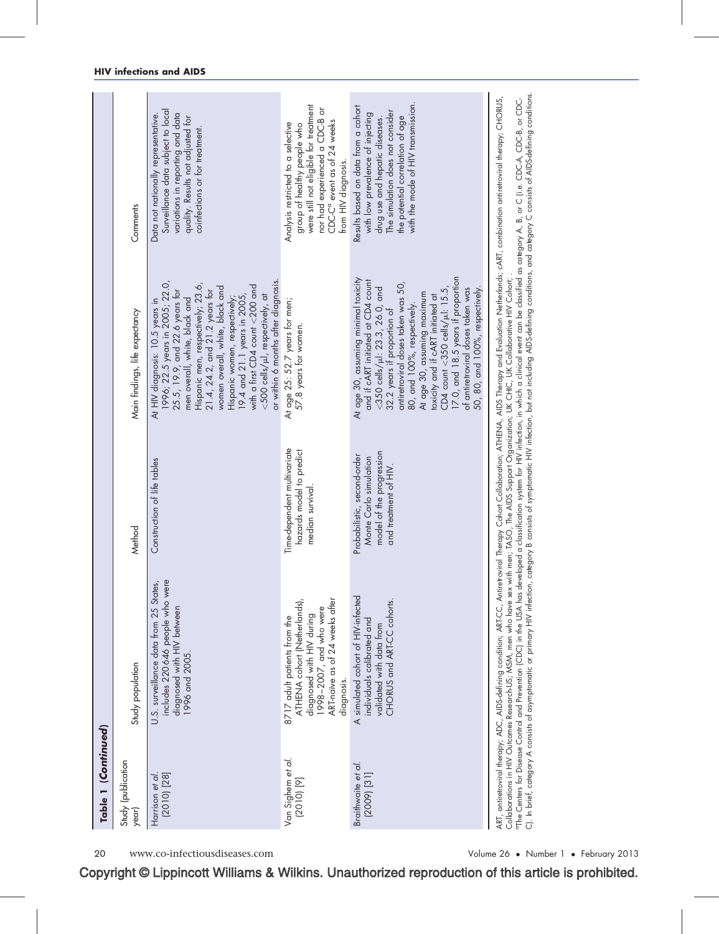| from HIV diagnosis.<br>At age 30, assuming minimal toxicity<br>or within 6 months after diagnosis.<br>and if cART initiated at CD4 count<br>1996; 22.5 years in 2005; 22.0,<br>Hispanic men, respectively; 23.6,<br>with a first CD4 count $<$ 200 and<br>women overall, white, black and<br><350 cells/ $\mu$ l: 23.3, 26.0, and<br>25.5, 19.9, and 22.6 years for<br>21.4, 24.2, and 21.2 years for<br>19.4 and 21.1 years in 2005,<br><500 cells/µl, respectively, at<br>Hispanic women, respectively;<br>men overall, white, black and<br>At age 25: 52.7 years for men;<br>At HIV diagnosis: 10.5 years in<br>57.8 years for women.<br>Time-dependent multivariate<br>hazards model to predict<br>model of the progression<br>Probabilistic, second-order<br>Monte Carlo simulation<br>Construction of life tables<br>median survival.<br>includes 220646 people who were<br>U.S. surveillance data from 25 States,<br>A simulated cohort of HIV-infected<br>ART-naïve as of 24 weeks after<br>ATHENA cohort (Netherlands),<br>diagnosed with HIV between<br>1998-2007, and who were<br>diagnosed with HIV during<br>8717 adult patients from the<br>individuals calibrated and<br>validated with data from<br>1996 and 2005.<br>diagnosis.<br>Van Sighem et al.<br>Braithwaite et al.<br>$[2009]$ $[31]$<br>$(2010)$ $[28]$<br>Harrison et al<br>$(2010)$ [9] | Study (publication<br>year) | Study population           | Method                | Main findings, life expectancy | Comments                                                                                                                                                                                                                |
|---------------------------------------------------------------------------------------------------------------------------------------------------------------------------------------------------------------------------------------------------------------------------------------------------------------------------------------------------------------------------------------------------------------------------------------------------------------------------------------------------------------------------------------------------------------------------------------------------------------------------------------------------------------------------------------------------------------------------------------------------------------------------------------------------------------------------------------------------------------------------------------------------------------------------------------------------------------------------------------------------------------------------------------------------------------------------------------------------------------------------------------------------------------------------------------------------------------------------------------------------------------------------------------------------------------------------------------------------------------------|-----------------------------|----------------------------|-----------------------|--------------------------------|-------------------------------------------------------------------------------------------------------------------------------------------------------------------------------------------------------------------------|
|                                                                                                                                                                                                                                                                                                                                                                                                                                                                                                                                                                                                                                                                                                                                                                                                                                                                                                                                                                                                                                                                                                                                                                                                                                                                                                                                                                     |                             |                            |                       |                                | Surveillance data subject to local<br>variations in reporting and data<br>Data not nationally representative.<br>quality. Results not adjusted for<br>coinfections or for treatment.                                    |
|                                                                                                                                                                                                                                                                                                                                                                                                                                                                                                                                                                                                                                                                                                                                                                                                                                                                                                                                                                                                                                                                                                                                                                                                                                                                                                                                                                     |                             |                            |                       |                                | were still not eligible for treatment<br>nor had experienced a CDC-B or<br>CDC-C <sup>a</sup> event as of 24 weeks<br>Analysis restricted to a selective<br>group of healthy people who                                 |
| 17.0, and 18.5 years if proportion<br>antiretroviral doses taken was 50,<br>50, 80, and 100%, respectively.<br>of antiretroviral doses taken was<br>CD4 count $<$ 350 cells/ $\mu$ l: 15.5,<br>At age 30, assuming maximum<br>toxicity and if cART initiated at<br>80, and 100%, respectively.                                                                                                                                                                                                                                                                                                                                                                                                                                                                                                                                                                                                                                                                                                                                                                                                                                                                                                                                                                                                                                                                      |                             | CHORUS and ART-CC cohorts. | and treatment of HIV. | 32.2 years if proportion of    | with the mode of HIV transmission.<br>Results based on data from a cohort<br>The simulation does not consider<br>with low prevalence of injecting<br>the potential correlation of age<br>drug use and hepatic diseases. |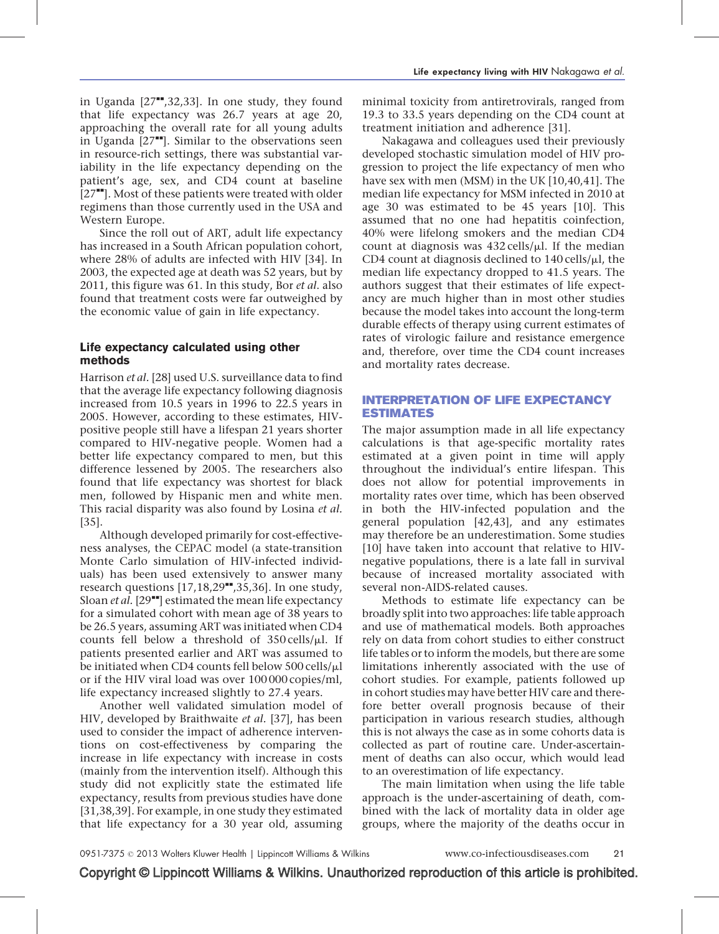in Uganda  $[27^{\bullet\bullet},32,33]$  $[27^{\bullet\bullet},32,33]$ . In one study, they found that life expectancy was 26.7 years at age 20, approaching the overall rate for all young adults in Uganda  $[27^{\bullet\bullet}]$  $[27^{\bullet\bullet}]$ . Similar to the observations seen in resource-rich settings, there was substantial variability in the life expectancy depending on the patient's age, sex, and CD4 count at baseline  $[27$ <sup> $\blacksquare$ </sup>. Most of these patients were treated with older regimens than those currently used in the USA and Western Europe.

Since the roll out of ART, adult life expectancy has increased in a South African population cohort, where 28% of adults are infected with HIV [\[34\].](#page-7-0) In 2003, the expected age at death was 52 years, but by 2011, this figure was 61. In this study, Bor et al. also found that treatment costs were far outweighed by the economic value of gain in life expectancy.

# Life expectancy calculated using other methods

Harrison et al. [\[28\]](#page-7-0) used U.S. surveillance data to find that the average life expectancy following diagnosis increased from 10.5 years in 1996 to 22.5 years in 2005. However, according to these estimates, HIVpositive people still have a lifespan 21 years shorter compared to HIV-negative people. Women had a better life expectancy compared to men, but this difference lessened by 2005. The researchers also found that life expectancy was shortest for black men, followed by Hispanic men and white men. This racial disparity was also found by Losina et al. [\[35\].](#page-7-0)

Although developed primarily for cost-effectiveness analyses, the CEPAC model (a state-transition Monte Carlo simulation of HIV-infected individuals) has been used extensively to answer many research questions  $[17,18,29$ <sup>\*\*</sup>[,35,36\]](#page-7-0). In one study, Sloan *et al.* [\[29](#page-7-0) $\text{I}$ [\]](#page-7-0) estimated the mean life expectancy for a simulated cohort with mean age of 38 years to be 26.5 years, assuming ART was initiated when CD4 counts fell below a threshold of  $350 \text{ cells/} \mu$ . If patients presented earlier and ART was assumed to be initiated when CD4 counts fell below 500 cells/ $\mu$ l or if the HIV viral load was over 100 000 copies/ml, life expectancy increased slightly to 27.4 years.

Another well validated simulation model of HIV, developed by Braithwaite et al. [\[37\]](#page-7-0), has been used to consider the impact of adherence interventions on cost-effectiveness by comparing the increase in life expectancy with increase in costs (mainly from the intervention itself). Although this study did not explicitly state the estimated life expectancy, results from previous studies have done [\[31,38,39\].](#page-7-0) For example, in one study they estimated that life expectancy for a 30 year old, assuming minimal toxicity from antiretrovirals, ranged from 19.3 to 33.5 years depending on the CD4 count at treatment initiation and adherence [\[31\]](#page-7-0).

Nakagawa and colleagues used their previously developed stochastic simulation model of HIV progression to project the life expectancy of men who have sex with men (MSM) in the UK [\[10,40,41\].](#page-7-0) The median life expectancy for MSM infected in 2010 at age 30 was estimated to be 45 years [\[10\]](#page-7-0). This assumed that no one had hepatitis coinfection, 40% were lifelong smokers and the median CD4 count at diagnosis was  $432$  cells/ $\mu$ l. If the median CD4 count at diagnosis declined to  $140$  cells/ $\mu$ l, the median life expectancy dropped to 41.5 years. The authors suggest that their estimates of life expectancy are much higher than in most other studies because the model takes into account the long-term durable effects of therapy using current estimates of rates of virologic failure and resistance emergence and, therefore, over time the CD4 count increases and mortality rates decrease.

# INTERPRETATION OF LIFE EXPECTANCY ESTIMATES

The major assumption made in all life expectancy calculations is that age-specific mortality rates estimated at a given point in time will apply throughout the individual's entire lifespan. This does not allow for potential improvements in mortality rates over time, which has been observed in both the HIV-infected population and the general population [\[42,43\],](#page-7-0) and any estimates may therefore be an underestimation. Some studies [\[10\]](#page-7-0) have taken into account that relative to HIVnegative populations, there is a late fall in survival because of increased mortality associated with several non-AIDS-related causes.

Methods to estimate life expectancy can be broadly split into two approaches: life table approach and use of mathematical models. Both approaches rely on data from cohort studies to either construct life tables or to inform the models, but there are some limitations inherently associated with the use of cohort studies. For example, patients followed up in cohort studies may have better HIV care and therefore better overall prognosis because of their participation in various research studies, although this is not always the case as in some cohorts data is collected as part of routine care. Under-ascertainment of deaths can also occur, which would lead to an overestimation of life expectancy.

The main limitation when using the life table approach is the under-ascertaining of death, combined with the lack of mortality data in older age groups, where the majority of the deaths occur in

Copyright © Lippincott Williams & Wilkins. Unauthorized reproduction of this article is prohibited.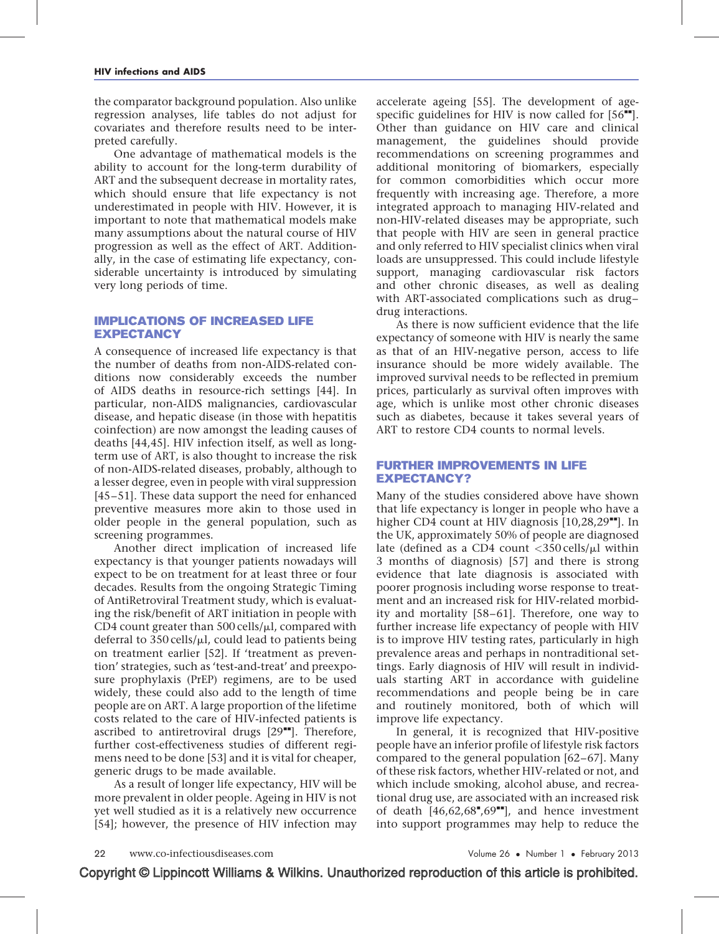the comparator background population. Also unlike regression analyses, life tables do not adjust for covariates and therefore results need to be interpreted carefully.

One advantage of mathematical models is the ability to account for the long-term durability of ART and the subsequent decrease in mortality rates, which should ensure that life expectancy is not underestimated in people with HIV. However, it is important to note that mathematical models make many assumptions about the natural course of HIV progression as well as the effect of ART. Additionally, in the case of estimating life expectancy, considerable uncertainty is introduced by simulating very long periods of time.

# IMPLICATIONS OF INCREASED LIFE **EXPECTANCY**

A consequence of increased life expectancy is that the number of deaths from non-AIDS-related conditions now considerably exceeds the number of AIDS deaths in resource-rich settings [\[44\]](#page-7-0). In particular, non-AIDS malignancies, cardiovascular disease, and hepatic disease (in those with hepatitis coinfection) are now amongst the leading causes of deaths [\[44,45\].](#page-7-0) HIV infection itself, as well as longterm use of ART, is also thought to increase the risk of non-AIDS-related diseases, probably, although to a lesser degree, even in people with viral suppression [\[45–51\].](#page-7-0) These data support the need for enhanced preventive measures more akin to those used in older people in the general population, such as screening programmes.

Another direct implication of increased life expectancy is that younger patients nowadays will expect to be on treatment for at least three or four decades. Results from the ongoing Strategic Timing of AntiRetroviral Treatment study, which is evaluating the risk/benefit of ART initiation in people with CD4 count greater than  $500$  cells/ $\mu$ l, compared with deferral to  $350$  cells/ $\mu$ l, could lead to patients being on treatment earlier [\[52\]](#page-8-0). If 'treatment as prevention' strategies, such as 'test-and-treat' and preexposure prophylaxis (PrEP) regimens, are to be used widely, these could also add to the length of time people are on ART. A large proportion of the lifetime costs related to the care of HIV-infected patients is ascribed to antiretroviral drugs  $[29$ <sup> $\blacksquare$ </sup>[\].](#page-7-0) Therefore, further cost-effectiveness studies of different regimens need to be done [\[53\]](#page-8-0) and it is vital for cheaper, generic drugs to be made available.

As a result of longer life expectancy, HIV will be more prevalent in older people. Ageing in HIV is not yet well studied as it is a relatively new occurrence [\[54\];](#page-8-0) however, the presence of HIV infection may accelerate ageing [\[55\].](#page-8-0) The development of agespecific guidelines for HIV is now called for  $[56<sup>••</sup>]$  $[56<sup>••</sup>]$  $[56<sup>••</sup>]$ . Other than guidance on HIV care and clinical management, the guidelines should provide recommendations on screening programmes and additional monitoring of biomarkers, especially for common comorbidities which occur more frequently with increasing age. Therefore, a more integrated approach to managing HIV-related and non-HIV-related diseases may be appropriate, such that people with HIV are seen in general practice and only referred to HIV specialist clinics when viral loads are unsuppressed. This could include lifestyle support, managing cardiovascular risk factors and other chronic diseases, as well as dealing with ART-associated complications such as drug– drug interactions.

As there is now sufficient evidence that the life expectancy of someone with HIV is nearly the same as that of an HIV-negative person, access to life insurance should be more widely available. The improved survival needs to be reflected in premium prices, particularly as survival often improves with age, which is unlike most other chronic diseases such as diabetes, because it takes several years of ART to restore CD4 counts to normal levels.

# FURTHER IMPROVEMENTS IN LIFE EXPECTANCY?

Many of the studies considered above have shown that life expectancy is longer in people who have a higher CD4 count at HIV diagnosis  $[10,28,29$ <sup> $\blacksquare$ </sup>[\].](#page-7-0) In the UK, approximately 50% of people are diagnosed late (defined as a CD4 count  $\langle 350 \text{ cells/}\mu$ l within 3 months of diagnosis) [\[57\]](#page-8-0) and there is strong evidence that late diagnosis is associated with poorer prognosis including worse response to treatment and an increased risk for HIV-related morbidity and mortality [\[58–61\].](#page-8-0) Therefore, one way to further increase life expectancy of people with HIV is to improve HIV testing rates, particularly in high prevalence areas and perhaps in nontraditional settings. Early diagnosis of HIV will result in individuals starting ART in accordance with guideline recommendations and people being be in care and routinely monitored, both of which will improve life expectancy.

In general, it is recognized that HIV-positive people have an inferior profile of lifestyle risk factors compared to the general population [\[62–67\].](#page-8-0) Many of these risk factors, whether HIV-related or not, and which include smoking, alcohol abuse, and recreational drug use, are associated with an increased risk of death  $[46,62,68^\bullet,69^\bullet]$  $[46,62,68^\bullet,69^\bullet]$  $[46,62,68^\bullet,69^\bullet]$  $[46,62,68^\bullet,69^\bullet]$ , and hence investment into support programmes may help to reduce the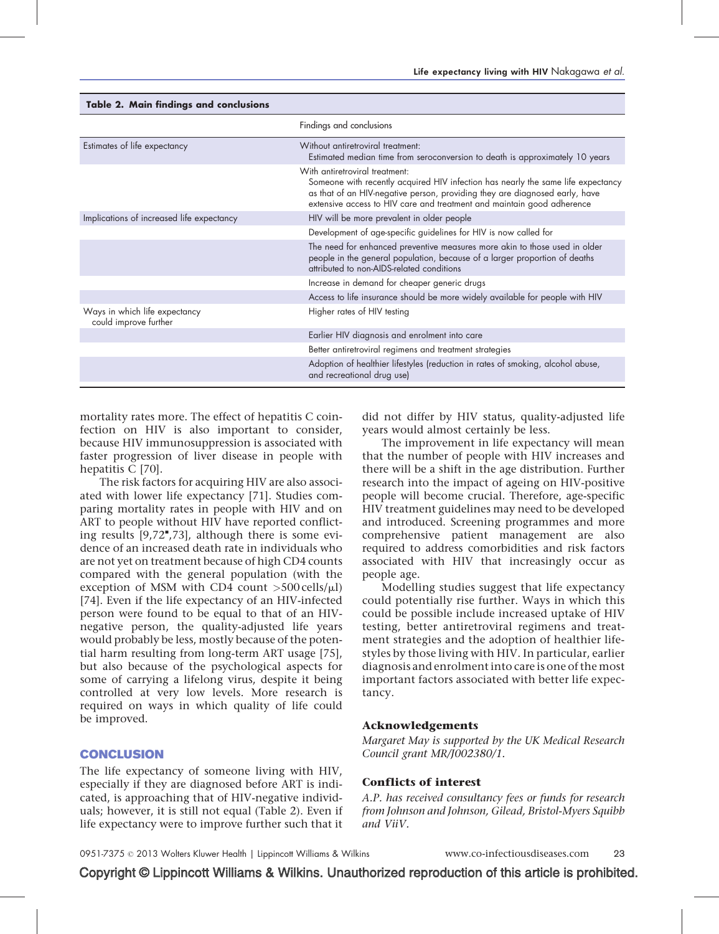|                                                        | Findings and conclusions                                                                                                                                                                                                                                                    |
|--------------------------------------------------------|-----------------------------------------------------------------------------------------------------------------------------------------------------------------------------------------------------------------------------------------------------------------------------|
| Estimates of life expectancy                           | Without antiretroviral treatment:<br>Estimated median time from seroconversion to death is approximately 10 years                                                                                                                                                           |
|                                                        | With antiretroviral treatment:<br>Someone with recently acquired HIV infection has nearly the same life expectancy<br>as that of an HIV-negative person, providing they are diagnosed early, have<br>extensive access to HIV care and treatment and maintain good adherence |
| Implications of increased life expectancy              | HIV will be more prevalent in older people                                                                                                                                                                                                                                  |
|                                                        | Development of age-specific guidelines for HIV is now called for                                                                                                                                                                                                            |
|                                                        | The need for enhanced preventive measures more akin to those used in older<br>people in the general population, because of a larger proportion of deaths<br>attributed to non-AIDS-related conditions                                                                       |
|                                                        | Increase in demand for cheaper generic drugs                                                                                                                                                                                                                                |
|                                                        | Access to life insurance should be more widely available for people with HIV                                                                                                                                                                                                |
| Ways in which life expectancy<br>could improve further | Higher rates of HIV testing                                                                                                                                                                                                                                                 |
|                                                        | Earlier HIV diagnosis and enrolment into care                                                                                                                                                                                                                               |
|                                                        | Better antiretroviral regimens and treatment strategies                                                                                                                                                                                                                     |
|                                                        | Adoption of healthier lifestyles (reduction in rates of smoking, alcohol abuse,<br>and recreational drug use)                                                                                                                                                               |

#### Table 2. Main findings and conclusions

mortality rates more. The effect of hepatitis C coinfection on HIV is also important to consider, because HIV immunosuppression is associated with faster progression of liver disease in people with hepatitis C [\[70\]](#page-8-0).

The risk factors for acquiring HIV are also associated with lower life expectancy [\[71\].](#page-8-0) Studies comparing mortality rates in people with HIV and on ART to people without HIV have reported conflict-ing results [\[9,72](#page-7-0)"[,73\],](#page-7-0) although there is some evidence of an increased death rate in individuals who are not yet on treatment because of high CD4 counts compared with the general population (with the exception of MSM with CD4 count  $>500$  cells/ $\mu$ l) [\[74\].](#page-8-0) Even if the life expectancy of an HIV-infected person were found to be equal to that of an HIVnegative person, the quality-adjusted life years would probably be less, mostly because of the potential harm resulting from long-term ART usage [\[75\]](#page-8-0), but also because of the psychological aspects for some of carrying a lifelong virus, despite it being controlled at very low levels. More research is required on ways in which quality of life could be improved.

#### **CONCLUSION**

The life expectancy of someone living with HIV, especially if they are diagnosed before ART is indicated, is approaching that of HIV-negative individuals; however, it is still not equal (Table 2). Even if life expectancy were to improve further such that it

did not differ by HIV status, quality-adjusted life years would almost certainly be less.

The improvement in life expectancy will mean that the number of people with HIV increases and there will be a shift in the age distribution. Further research into the impact of ageing on HIV-positive people will become crucial. Therefore, age-specific HIV treatment guidelines may need to be developed and introduced. Screening programmes and more comprehensive patient management are also required to address comorbidities and risk factors associated with HIV that increasingly occur as people age.

Modelling studies suggest that life expectancy could potentially rise further. Ways in which this could be possible include increased uptake of HIV testing, better antiretroviral regimens and treatment strategies and the adoption of healthier lifestyles by those living with HIV. In particular, earlier diagnosis and enrolment into care is one of the most important factors associated with better life expectancy.

#### Acknowledgements

Margaret May is supported by the UK Medical Research Council grant MR/J002380/1.

#### Conflicts of interest

A.P. has received consultancy fees or funds for research from Johnson and Johnson, Gilead, Bristol-Myers Squibb and ViiV.

Copyright © Lippincott Williams & Wilkins. Unauthorized reproduction of this article is prohibited.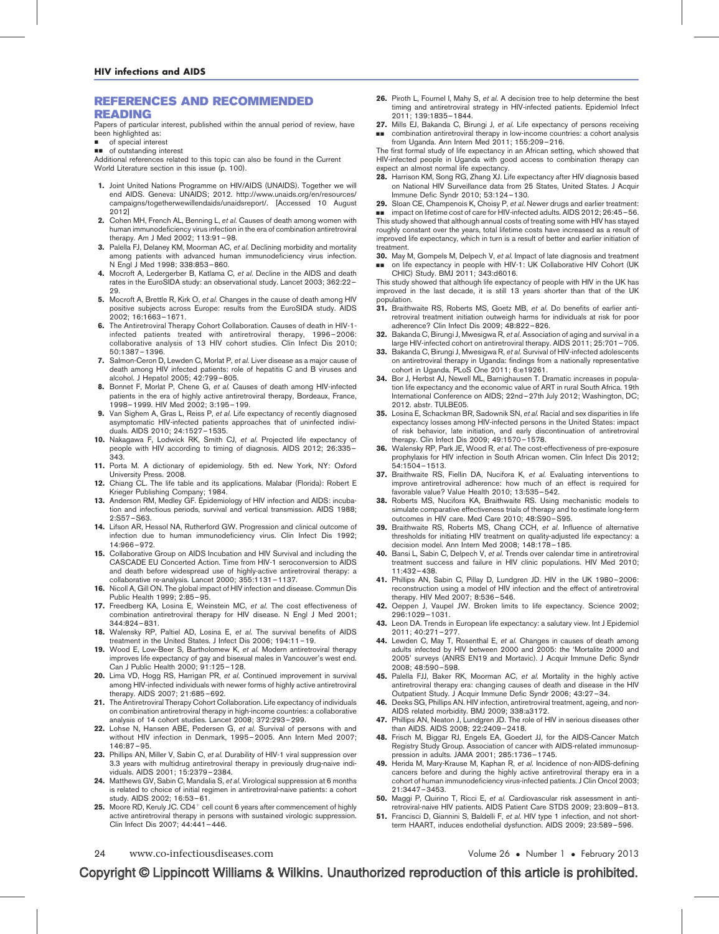# <span id="page-7-0"></span>REFERENCES AND RECOMMENDED READING

Papers of particular interest, published within the annual period of review, have been highlighted as:

- of special interest
- $\Box$  of outstanding interest

Additional references related to this topic can also be found in the Current World Literature section in this issue (p. 100).

- 1. Joint United Nations Programme on HIV/AIDS (UNAIDS). Together we will end AIDS. Geneva: UNAIDS; 2012. [http://www.unaids.org/en/resources/](http://www.unaids.org/en/resources/campaigns/togetherwewillendaids/unaidsreport/) [campaigns/togetherwewillendaids/unaidsreport/.](http://www.unaids.org/en/resources/campaigns/togetherwewillendaids/unaidsreport/) [Accessed 10 August 2012]
- 2. Cohen MH, French AL, Benning L, et al. Causes of death among women with human immunodeficiency virus infection in the era of combination antiretroviral therapy. Am J Med 2002; 113:91–98.
- 3. Palella FJ, Delaney KM, Moorman AC, et al. Declining morbidity and mortality among patients with advanced human immunodeficiency virus infection. N Engl J Med 1998; 338:853–860.
- 4. Mocroft A, Ledergerber B, Katlama C, et al. Decline in the AIDS and death rates in the EuroSIDA study: an observational study. Lancet 2003; 362:22– 29.
- 5. Mocroft A, Brettle R, Kirk O, et al. Changes in the cause of death among HIV positive subjects across Europe: results from the EuroSIDA study. AIDS 2002; 16:1663–1671.
- 6. The Antiretroviral Therapy Cohort Collaboration. Causes of death in HIV-1 infected patients treated with antiretroviral therapy, 1996–2006: collaborative analysis of 13 HIV cohort studies. Clin Infect Dis 2010; 50:1387–1396.
- 7. Salmon-Ceron D, Lewden C, Morlat P, et al. Liver disease as a major cause of death among HIV infected patients: role of hepatitis C and B viruses and alcohol. J Hepatol 2005; 42:799–805.
- 8. Bonnet F, Morlat P, Chene G, et al. Causes of death among HIV-infected patients in the era of highly active antiretroviral therapy, Bordeaux, France, 1998–1999. HIV Med 2002; 3:195–199.
- 9. Van Sighem A, Gras L, Reiss P, et al. Life expectancy of recently diagnosed asymptomatic HIV-infected patients approaches that of uninfected individuals. AIDS 2010; 24:1527–1535.
- 10. Nakagawa F, Lodwick RK, Smith CJ, et al. Projected life expectancy of people with HIV according to timing of diagnosis. AIDS 2012; 26:335– 343.
- 11. Porta M. A dictionary of epidemiology. 5th ed. New York, NY: Oxford University Press. 2008.
- 12. Chiang CL. The life table and its applications. Malabar (Florida): Robert E Krieger Publishing Company; 1984.
- 13. Anderson RM, Medley GF. Epidemiology of HIV infection and AIDS: incubation and infectious periods, survival and vertical transmission. AIDS 1988; 2:S57–S63.
- 14. Lifson AR, Hessol NA, Rutherford GW. Progression and clinical outcome of infection due to human immunodeficiency virus. Clin Infect Dis 1992; 14:966–972.
- 15. Collaborative Group on AIDS Incubation and HIV Survival and including the CASCADE EU Concerted Action. Time from HIV-1 seroconversion to AIDS and death before widespread use of highly-active antiretroviral therapy: a collaborative re-analysis. Lancet 2000; 355:1131–1137.
- 16. Nicoll A, Gill ON. The global impact of HIV infection and disease. Commun Dis Public Health 1999; 2:85–95.
- 17. Freedberg KA, Losina E, Weinstein MC, et al. The cost effectiveness of combination antiretroviral therapy for HIV disease. N Engl J Med 2001; 344:824–831.
- 18. Walensky RP, Paltiel AD, Losina E, et al. The survival benefits of AIDS treatment in the United States. J Infect Dis 2006; 194:11–19.
- 19. Wood E, Low-Beer S, Bartholomew K, et al. Modern antiretroviral therapy improves life expectancy of gay and bisexual males in Vancouver's west end. Can J Public Health 2000; 91:125–128.
- 20. Lima VD, Hogg RS, Harrigan PR, et al. Continued improvement in survival among HIV-infected individuals with newer forms of highly active antiretroviral therapy. AIDS 2007; 21:685–692.
- 21. The Antiretroviral Therapy Cohort Collaboration. Life expectancy of individuals on combination antiretroviral therapy in high-income countries: a collaborative analysis of 14 cohort studies. Lancet 2008; 372:293–299.
- 22. Lohse N, Hansen ABE, Pedersen G, et al. Survival of persons with and without HIV infection in Denmark, 1995–2005. Ann Intern Med 2007; 146:87–95.
- 23. Phillips AN, Miller V, Sabin C, et al. Durability of HIV-1 viral suppression over 3.3 years with multidrug antiretroviral therapy in previously drug-naive individuals. AIDS 2001; 15:2379–2384.
- 24. Matthews GV, Sabin C, Mandalia S, et al. Virological suppression at 6 months is related to choice of initial regimen in antiretroviral-naive patients: a cohort study. AIDS 2002; 16:53–61.
- **25.** Moore RD, Keruly JC.  $CD4^+$  cell count 6 years after commencement of highly active antiretroviral therapy in persons with sustained virologic suppression. Clin Infect Dis 2007; 44:441–446.
- 26. Piroth L, Fournel I, Mahy S, et al. A decision tree to help determine the best timing and antiretroviral strategy in HIV-infected patients. Epidemiol Infect 2011; 139:1835–1844.
- 27. Mills EJ, Bakanda C, Birungi J, et al. Life expectancy of persons receiving && combination antiretroviral therapy in low-income countries: a cohort analysis from Uganda. Ann Intern Med 2011; 155:209–216.

The first formal study of life expectancy in an African setting, which showed that HIV-infected people in Uganda with good access to combination therapy can expect an almost normal life expectancy.

- 28. Harrison KM, Song RG, Zhang XJ. Life expectancy after HIV diagnosis based on National HIV Surveillance data from 25 States, United States. J Acquir Immune Defic Syndr 2010; 53:124–130.
- 29. Sloan CE, Champenois K, Choisy P, et al. Newer drugs and earlier treatment:
- ■■ impact on lifetime cost of care for HIV-infected adults. AIDS 2012; 26:45-56. This study showed that although annual costs of treating some with HIV has stayed roughly constant over the years, total lifetime costs have increased as a result of improved life expectancy, which in turn is a result of better and earlier initiation of treatment.
- 30. May M, Gompels M, Delpech V, et al. Impact of late diagnosis and treatment && on life expectancy in people with HIV-1: UK Collaborative HIV Cohort (UK CHIC) Study. BMJ 2011; 343:d6016.

This study showed that although life expectancy of people with HIV in the UK has improved in the last decade, it is still 13 years shorter than that of the UK population.

- 31. Braithwaite RS, Roberts MS, Goetz MB, et al. Do benefits of earlier antiretroviral treatment initiation outweigh harms for individuals at risk for poor adherence? Clin Infect Dis 2009; 48:822–826.
- 32. Bakanda C, Birungi J, Mwesigwa R, et al. Association of aging and survival in a large HIV-infected cohort on antiretroviral therapy. AIDS 2011; 25:701–705.
- 33. Bakanda C, Birungi J, Mwesigwa R, et al. Survival of HIV-infected adolescents on antiretroviral therapy in Uganda: findings from a nationally representative cohort in Uganda. PLoS One 2011; 6:e19261.
- 34. Bor J, Herbst AJ, Newell ML, Barnighausen T. Dramatic increases in population life expectancy and the economic value of ART in rural South Africa. 19th International Conference on AIDS; 22nd-27th July 2012; Washington, DC; 2012. abstr. TULBE05.
- 35. Losina E, Schackman BR, Sadownik SN, et al. Racial and sex disparities in life expectancy losses among HIV-infected persons in the United States: impact of risk behavior, late initiation, and early discontinuation of antiretroviral therapy. Clin Infect Dis 2009; 49:1570–1578.
- 36. Walensky RP, Park JE, Wood R, et al. The cost-effectiveness of pre-exposure prophylaxis for HIV infection in South African women. Clin Infect Dis 2012; 54:1504–1513.
- 37. Braithwaite RS, Fiellin DA, Nucifora K, et al. Evaluating interventions to improve antiretroviral adherence: how much of an effect is required for favorable value? Value Health 2010; 13:535–542.
- 38. Roberts MS, Nucifora KA, Braithwaite RS. Using mechanistic models to simulate comparative effectiveness trials of therapy and to estimate long-term outcomes in HIV care. Med Care 2010; 48:S90–S95.
- 39. Braithwaite RS, Roberts MS, Chang CCH, et al. Influence of alternative thresholds for initiating HIV treatment on quality-adjusted life expectancy: a decision model. Ann Intern Med 2008; 148:178–185.
- 40. Bansi L, Sabin C, Delpech V, et al. Trends over calendar time in antiretroviral treatment success and failure in HIV clinic populations. HIV Med 2010; 11:432–438.
- 41. Phillips AN, Sabin C, Pillay D, Lundgren JD. HIV in the UK 1980–2006: reconstruction using a model of HIV infection and the effect of antiretroviral therapy. HIV Med 2007; 8:536–546.
- 42. Oeppen J, Vaupel JW. Broken limits to life expectancy. Science 2002; 296:1029–1031.
- 43. Leon DA. Trends in European life expectancy: a salutary view. Int J Epidemiol 2011; 40:271–277.
- 44. Lewden C, May T, Rosenthal E, et al. Changes in causes of death among adults infected by HIV between 2000 and 2005: the 'Mortalite 2000 and 2005' surveys (ANRS EN19 and Mortavic). J Acquir Immune Defic Syndr 2008; 48:590–598.
- 45. Palella FJJ, Baker RK, Moorman AC, et al. Mortality in the highly active antiretroviral therapy era: changing causes of death and disease in the HIV Outpatient Study. J Acquir Immune Defic Syndr 2006; 43:27–34.
- 46. Deeks SG, Phillips AN. HIV infection, antiretroviral treatment, ageing, and non-AIDS related morbidity. BMJ 2009; 338:a3172.
- 47. Phillips AN, Neaton J, Lundgren JD. The role of HIV in serious diseases other than AIDS. AIDS 2008; 22:2409–2418.
- 48. Frisch M, Biggar RJ, Engels EA, Goedert JJ, for the AIDS-Cancer Match Registry Study Group. Association of cancer with AIDS-related immunosuppression in adults. JAMA 2001; 285:1736–1745.
- 49. Herida M, Mary-Krause M, Kaphan R, et al. Incidence of non-AIDS-defining cancers before and during the highly active antiretroviral therapy era in a cohort of human immunodeficiency virus-infected patients. J Clin Oncol 2003; 21:3447–3453.
- 50. Maggi P, Quirino T, Ricci E, et al. Cardiovascular risk assessment in antiretroviral-naive HIV patients. AIDS Patient Care STDS 2009; 23:809–813.
- 51. Francisci D, Giannini S, Baldelli F, et al. HIV type 1 infection, and not shortterm HAART, induces endothelial dysfunction. AIDS 2009; 23:589–596.
- 24 www.co-infectiousdiseases.com volume 26 Number 1 February 2013

Copyright © Lippincott Williams & Wilkins. Unauthorized reproduction of this article is prohibited.